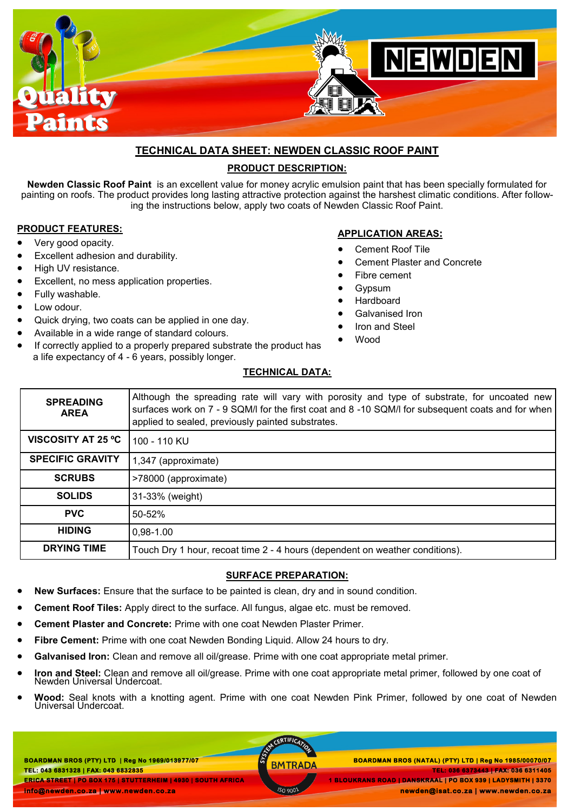

# **TECHNICAL DATA SHEET: NEWDEN CLASSIC ROOF PAINT**

# **PRODUCT DESCRIPTION:**

**Newden Classic Roof Paint** is an excellent value for money acrylic emulsion paint that has been specially formulated for painting on roofs. The product provides long lasting attractive protection against the harshest climatic conditions. After following the instructions below, apply two coats of Newden Classic Roof Paint.

### **PRODUCT FEATURES:**

- Very good opacity.
- Excellent adhesion and durability.
- High UV resistance.
- Excellent, no mess application properties.
- Fully washable.
- Low odour.
- Quick drying, two coats can be applied in one day.
- Available in a wide range of standard colours.
- If correctly applied to a properly prepared substrate the product has a life expectancy of 4 - 6 years, possibly longer.

### **APPLICATION AREAS:**

- Cement Roof Tile
- Cement Plaster and Concrete
- Fibre cement
- Gypsum
- Hardboard
- Galvanised Iron
- Iron and Steel
- Wood

## **TECHNICAL DATA:**

| <b>SPREADING</b><br><b>AREA</b> | Although the spreading rate will vary with porosity and type of substrate, for uncoated new<br>surfaces work on 7 - 9 SQM/I for the first coat and 8 -10 SQM/I for subsequent coats and for when<br>applied to sealed, previously painted substrates. |
|---------------------------------|-------------------------------------------------------------------------------------------------------------------------------------------------------------------------------------------------------------------------------------------------------|
| VISCOSITY AT 25 °C              | 100 - 110 KU                                                                                                                                                                                                                                          |
| <b>SPECIFIC GRAVITY</b>         | 1,347 (approximate)                                                                                                                                                                                                                                   |
| <b>SCRUBS</b>                   | >78000 (approximate)                                                                                                                                                                                                                                  |
| <b>SOLIDS</b>                   | 31-33% (weight)                                                                                                                                                                                                                                       |
| <b>PVC</b>                      | 50-52%                                                                                                                                                                                                                                                |
| <b>HIDING</b>                   | $0,98-1.00$                                                                                                                                                                                                                                           |
| <b>DRYING TIME</b>              | Touch Dry 1 hour, recoat time 2 - 4 hours (dependent on weather conditions).                                                                                                                                                                          |

### **SURFACE PREPARATION:**

- **New Surfaces:** Ensure that the surface to be painted is clean, dry and in sound condition.
- **Cement Roof Tiles:** Apply direct to the surface. All fungus, algae etc. must be removed.
- **Cement Plaster and Concrete:** Prime with one coat Newden Plaster Primer.
- **Fibre Cement:** Prime with one coat Newden Bonding Liquid. Allow 24 hours to dry.
- **Galvanised Iron:** Clean and remove all oil/grease. Prime with one coat appropriate metal primer.
- **Iron and Steel:** Clean and remove all oil/grease. Prime with one coat appropriate metal primer, followed by one coat of Newden Universal Undercoat.
- **Wood:** Seal knots with a knotting agent. Prime with one coat Newden Pink Primer, followed by one coat of Newden Universal Undercoat.

**BOARDMAN BROS (PTY) LTD | Reg No 1969/013977/07 TEL: 043 6831328 | FAX: 043 6832835 ERICA STREET | PO BOX 175 | STUTTERHEIM | 4930 | SOUTH AFRICA info@newden.co.za | www.newden.co.za** 

CERTIFICAT

 **BOARDMAN BROS (PTY) LTD | Reg No 1969/013977/07 BOARDMAN BROS (NATAL) (PTY) LTD | Reg No 1985/00070/07 TEL: 036 6373443 | FAX: 036 6311405 1 BLOUKRANS ROAD | DANSKRAAL | PO BOX 939 | LADYSMITH | 3370** 

 **newden@isat.co.za | www.newden.co.za**